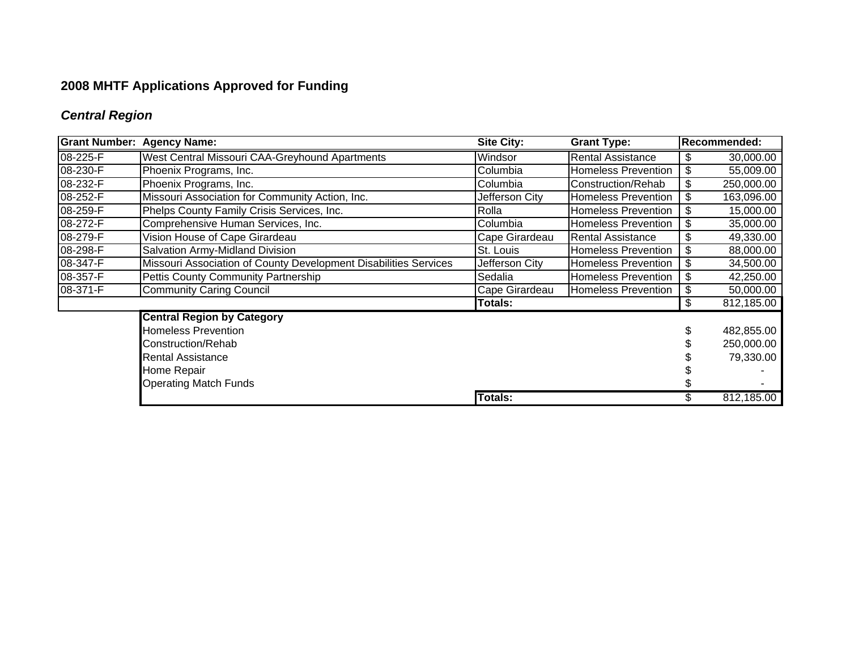# **2008 MHTF Applications Approved for Funding**

# *Central Region*

| <b>Grant Number:</b> | <b>Agency Name:</b>                                              | <b>Site City:</b><br><b>Grant Type:</b> |                            | <b>Recommended:</b> |            |
|----------------------|------------------------------------------------------------------|-----------------------------------------|----------------------------|---------------------|------------|
| 08-225-F             | West Central Missouri CAA-Greyhound Apartments                   | Windsor                                 | <b>Rental Assistance</b>   | S                   | 30,000.00  |
| 08-230-F             | Phoenix Programs, Inc.                                           | Columbia                                | <b>Homeless Prevention</b> | \$                  | 55,009.00  |
| 08-232-F             | Phoenix Programs, Inc.                                           | Columbia                                | Construction/Rehab         | \$                  | 250,000.00 |
| 08-252-F             | Missouri Association for Community Action, Inc.                  | Jefferson City                          | <b>Homeless Prevention</b> | \$                  | 163,096.00 |
| 08-259-F             | Phelps County Family Crisis Services, Inc.                       | Rolla                                   | <b>Homeless Prevention</b> | \$                  | 15,000.00  |
| 08-272-F             | Comprehensive Human Services, Inc.                               | Columbia                                | <b>Homeless Prevention</b> | \$                  | 35,000.00  |
| 08-279-F             | Vision House of Cape Girardeau                                   | Cape Girardeau                          | <b>Rental Assistance</b>   | \$                  | 49,330.00  |
| 08-298-F             | Salvation Army-Midland Division                                  | St. Louis                               | <b>Homeless Prevention</b> | S                   | 88,000.00  |
| 08-347-F             | Missouri Association of County Development Disabilities Services | Jefferson City                          | <b>Homeless Prevention</b> | \$                  | 34,500.00  |
| 08-357-F             | <b>Pettis County Community Partnership</b>                       | Sedalia                                 | <b>Homeless Prevention</b> | \$                  | 42,250.00  |
| 08-371-F             | <b>Community Caring Council</b>                                  | Cape Girardeau                          | Homeless Prevention        | \$                  | 50,000.00  |
|                      |                                                                  | Totals:                                 |                            | \$                  | 812,185.00 |
|                      | <b>Central Region by Category</b>                                |                                         |                            |                     |            |
|                      | <b>Homeless Prevention</b>                                       |                                         |                            |                     | 482,855.00 |
|                      | Construction/Rehab                                               |                                         |                            |                     | 250,000.00 |
|                      | <b>Rental Assistance</b>                                         |                                         |                            |                     | 79,330.00  |
|                      | Home Repair                                                      |                                         |                            |                     |            |
|                      | <b>Operating Match Funds</b>                                     |                                         |                            |                     |            |
|                      |                                                                  | Totals:                                 |                            |                     | 812,185.00 |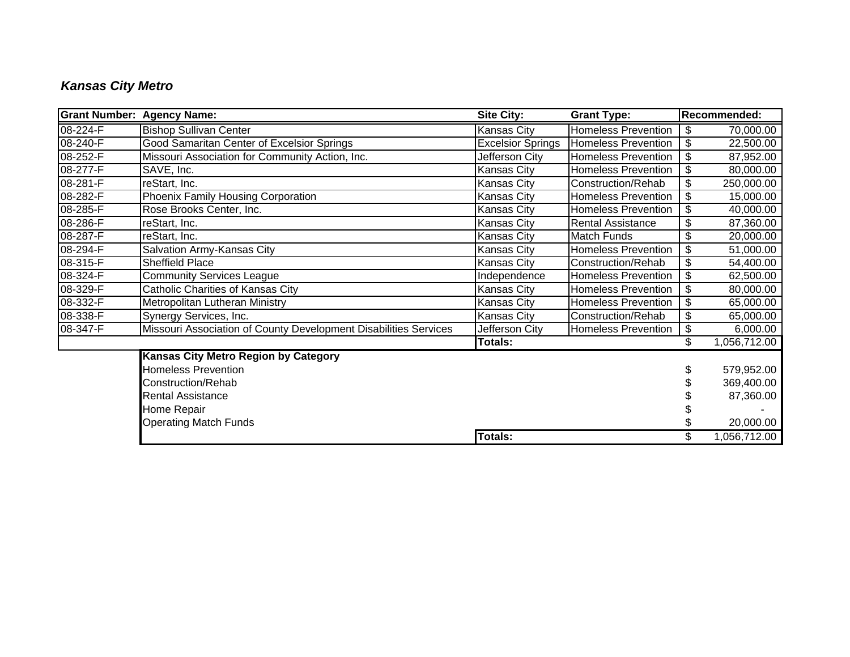## *Kansas City Metro*

| <b>Grant Number: Agency Name:</b> |                                                                  | <b>Site City:</b>        | <b>Grant Type:</b>         | Recommended:       |
|-----------------------------------|------------------------------------------------------------------|--------------------------|----------------------------|--------------------|
| 08-224-F                          | <b>Bishop Sullivan Center</b>                                    | Kansas City              | <b>Homeless Prevention</b> | \$<br>70,000.00    |
| 08-240-F                          | <b>Good Samaritan Center of Excelsior Springs</b>                | <b>Excelsior Springs</b> | <b>Homeless Prevention</b> | \$<br>22,500.00    |
| 08-252-F                          | Missouri Association for Community Action, Inc.                  | Jefferson City           | <b>Homeless Prevention</b> | \$<br>87,952.00    |
| 08-277-F                          | SAVE, Inc.                                                       | Kansas City              | <b>Homeless Prevention</b> | \$<br>80,000.00    |
| 08-281-F                          | reStart, Inc.                                                    | Kansas City              | Construction/Rehab         | \$<br>250,000.00   |
| 08-282-F                          | Phoenix Family Housing Corporation                               | Kansas City              | <b>Homeless Prevention</b> | \$<br>15,000.00    |
| 08-285-F                          | Rose Brooks Center, Inc.                                         | Kansas City              | <b>Homeless Prevention</b> | \$<br>40,000.00    |
| 08-286-F                          | reStart, Inc.                                                    | Kansas City              | <b>Rental Assistance</b>   | \$<br>87,360.00    |
| 08-287-F                          | reStart, Inc.                                                    | Kansas City              | Match Funds                | \$<br>20,000.00    |
| 08-294-F                          | Salvation Army-Kansas City                                       | Kansas City              | <b>Homeless Prevention</b> | \$<br>51,000.00    |
| 08-315-F                          | <b>Sheffield Place</b>                                           | Kansas City              | Construction/Rehab         | \$<br>54,400.00    |
| 08-324-F                          | <b>Community Services League</b>                                 | Independence             | <b>Homeless Prevention</b> | \$<br>62,500.00    |
| 08-329-F                          | <b>Catholic Charities of Kansas City</b>                         | <b>Kansas City</b>       | <b>Homeless Prevention</b> | \$<br>80,000.00    |
| 08-332-F                          | Metropolitan Lutheran Ministry                                   | Kansas City              | <b>Homeless Prevention</b> | \$<br>65,000.00    |
| 08-338-F                          | Synergy Services, Inc.                                           | Kansas City              | Construction/Rehab         | \$<br>65,000.00    |
| 08-347-F                          | Missouri Association of County Development Disabilities Services | Jefferson City           | <b>Homeless Prevention</b> | \$<br>6,000.00     |
|                                   |                                                                  | <b>Totals:</b>           |                            | \$<br>1,056,712.00 |
|                                   | <b>Kansas City Metro Region by Category</b>                      |                          |                            |                    |
|                                   | <b>Homeless Prevention</b>                                       |                          |                            | 579,952.00         |
|                                   | Construction/Rehab                                               |                          |                            | 369,400.00         |
|                                   | <b>Rental Assistance</b>                                         |                          |                            | 87,360.00          |
|                                   | Home Repair                                                      |                          |                            |                    |
|                                   | <b>Operating Match Funds</b>                                     |                          |                            | 20,000.00          |
|                                   |                                                                  | <b>Totals:</b>           |                            | \$<br>1,056,712.00 |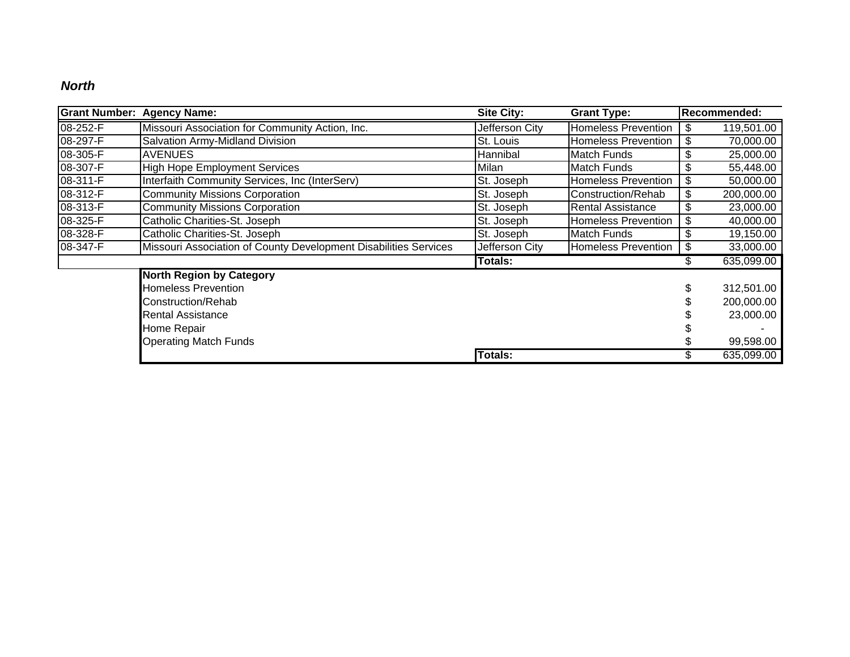#### *North*

| <b>Grant Number:</b> | <b>Agency Name:</b>                                              | <b>Site City:</b><br><b>Grant Type:</b> |                            | <b>Recommended:</b> |            |
|----------------------|------------------------------------------------------------------|-----------------------------------------|----------------------------|---------------------|------------|
| 08-252-F             | Missouri Association for Community Action, Inc.                  | Jefferson City                          | <b>Homeless Prevention</b> |                     | 119,501.00 |
| 08-297-F             | Salvation Army-Midland Division                                  | St. Louis                               | <b>Homeless Prevention</b> | \$                  | 70,000.00  |
| 08-305-F             | <b>AVENUES</b>                                                   | Hannibal                                | <b>Match Funds</b>         | \$                  | 25,000.00  |
| 08-307-F             | <b>High Hope Employment Services</b>                             | Milan                                   | <b>Match Funds</b>         | \$                  | 55,448.00  |
| 08-311-F             | Interfaith Community Services, Inc (InterServ)                   | St. Joseph                              | <b>Homeless Prevention</b> | \$                  | 50,000.00  |
| 08-312-F             | Community Missions Corporation                                   | St. Joseph                              | Construction/Rehab         | \$                  | 200,000.00 |
| 08-313-F             | <b>Community Missions Corporation</b>                            | St. Joseph                              | <b>Rental Assistance</b>   | \$                  | 23,000.00  |
| 08-325-F             | Catholic Charities-St. Joseph                                    | St. Joseph                              | <b>Homeless Prevention</b> |                     | 40,000.00  |
| 08-328-F             | Catholic Charities-St. Joseph                                    | St. Joseph                              | <b>Match Funds</b>         | \$                  | 19,150.00  |
| 08-347-F             | Missouri Association of County Development Disabilities Services | Jefferson City                          | <b>Homeless Prevention</b> | \$                  | 33,000.00  |
|                      |                                                                  | <b>Totals:</b>                          |                            |                     | 635,099.00 |
|                      | <b>North Region by Category</b>                                  |                                         |                            |                     |            |
|                      | <b>Homeless Prevention</b>                                       |                                         |                            |                     | 312,501.00 |
|                      | Construction/Rehab                                               |                                         |                            |                     | 200,000.00 |
|                      | <b>Rental Assistance</b>                                         |                                         |                            |                     | 23,000.00  |
|                      | Home Repair                                                      |                                         |                            |                     |            |
|                      | <b>Operating Match Funds</b>                                     |                                         |                            |                     | 99,598.00  |
|                      |                                                                  | Totals:                                 |                            |                     | 635,099.00 |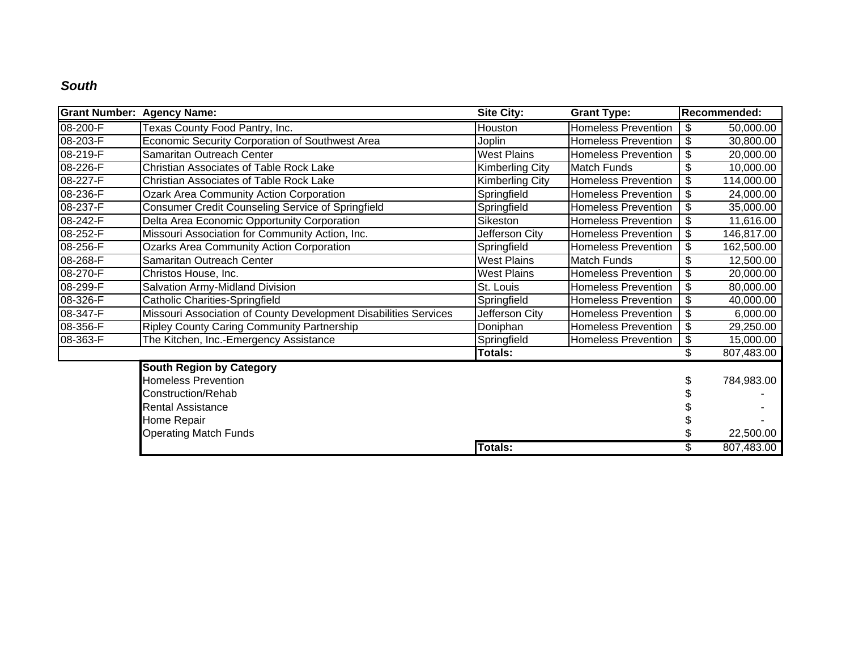#### *South*

| <b>Grant Number: Agency Name:</b> |                                                                  | <b>Site City:</b>      | <b>Grant Type:</b>         | Recommended:     |
|-----------------------------------|------------------------------------------------------------------|------------------------|----------------------------|------------------|
| 08-200-F                          | Texas County Food Pantry, Inc.                                   | Houston                | <b>Homeless Prevention</b> | \$<br>50,000.00  |
| 08-203-F                          | <b>Economic Security Corporation of Southwest Area</b>           | Joplin                 | <b>Homeless Prevention</b> | \$<br>30,800.00  |
| 08-219-F                          | Samaritan Outreach Center                                        | <b>West Plains</b>     | <b>Homeless Prevention</b> | \$<br>20,000.00  |
| 08-226-F                          | Christian Associates of Table Rock Lake                          | <b>Kimberling City</b> | <b>Match Funds</b>         | \$<br>10,000.00  |
| 08-227-F                          | Christian Associates of Table Rock Lake                          | <b>Kimberling City</b> | <b>Homeless Prevention</b> | \$<br>114,000.00 |
| 08-236-F                          | <b>Ozark Area Community Action Corporation</b>                   | Springfield            | <b>Homeless Prevention</b> | \$<br>24,000.00  |
| 08-237-F                          | Consumer Credit Counseling Service of Springfield                | Springfield            | <b>Homeless Prevention</b> | \$<br>35,000.00  |
| 08-242-F                          | Delta Area Economic Opportunity Corporation                      | Sikeston               | <b>Homeless Prevention</b> | \$<br>11,616.00  |
| 08-252-F                          | Missouri Association for Community Action, Inc.                  | Jefferson City         | <b>Homeless Prevention</b> | \$<br>146,817.00 |
| 08-256-F                          | <b>Ozarks Area Community Action Corporation</b>                  | Springfield            | <b>Homeless Prevention</b> | \$<br>162,500.00 |
| 08-268-F                          | Samaritan Outreach Center                                        | <b>West Plains</b>     | <b>Match Funds</b>         | \$<br>12,500.00  |
| 08-270-F                          | Christos House, Inc.                                             | <b>West Plains</b>     | <b>Homeless Prevention</b> | \$<br>20,000.00  |
| 08-299-F                          | Salvation Army-Midland Division                                  | St. Louis              | <b>Homeless Prevention</b> | \$<br>80,000.00  |
| 08-326-F                          | Catholic Charities-Springfield                                   | Springfield            | <b>Homeless Prevention</b> | \$<br>40,000.00  |
| 08-347-F                          | Missouri Association of County Development Disabilities Services | Jefferson City         | <b>Homeless Prevention</b> | \$<br>6,000.00   |
| 08-356-F                          | <b>Ripley County Caring Community Partnership</b>                | Doniphan               | <b>Homeless Prevention</b> | \$<br>29,250.00  |
| 08-363-F                          | The Kitchen, Inc.-Emergency Assistance                           | Springfield            | <b>Homeless Prevention</b> | \$<br>15,000.00  |
|                                   |                                                                  | Totals:                |                            | 807,483.00       |
|                                   | <b>South Region by Category</b>                                  |                        |                            |                  |
|                                   | <b>Homeless Prevention</b>                                       |                        |                            | 784,983.00       |
|                                   | Construction/Rehab                                               |                        |                            |                  |
|                                   | <b>Rental Assistance</b>                                         |                        |                            |                  |
|                                   | Home Repair                                                      |                        |                            |                  |
|                                   | <b>Operating Match Funds</b>                                     |                        |                            | 22,500.00        |
|                                   |                                                                  | Totals:                |                            | 807,483.00       |